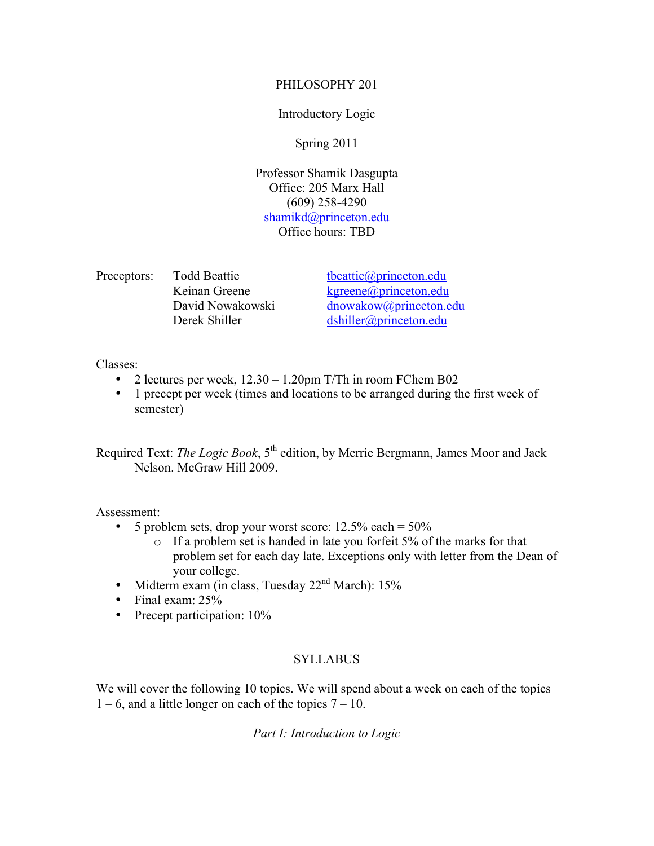### PHILOSOPHY 201

## Introductory Logic

# Spring 2011

Professor Shamik Dasgupta Office: 205 Marx Hall (609) 258-4290 shamikd@princeton.edu Office hours: TBD

Preceptors: Todd Beattie tbeattie the the the theorem of the theorem edu

Keinan Greene kgreene@princeton.edu David Nowakowski dnowakow@princeton.edu Derek Shiller dshiller@princeton.edu

Classes:

- 2 lectures per week,  $12.30 1.20$  pm T/Th in room FChem B02
- 1 precept per week (times and locations to be arranged during the first week of semester)

Required Text: *The Logic Book*, 5<sup>th</sup> edition, by Merrie Bergmann, James Moor and Jack Nelson. McGraw Hill 2009.

Assessment:

- 5 problem sets, drop your worst score:  $12.5\%$  each =  $50\%$ 
	- o If a problem set is handed in late you forfeit 5% of the marks for that problem set for each day late. Exceptions only with letter from the Dean of your college.
- Midterm exam (in class, Tuesday 22<sup>nd</sup> March): 15%
- Final exam: 25%
- Precept participation:  $10\%$

## **SYLLABUS**

We will cover the following 10 topics. We will spend about a week on each of the topics  $1 - 6$ , and a little longer on each of the topics  $7 - 10$ .

*Part I: Introduction to Logic*